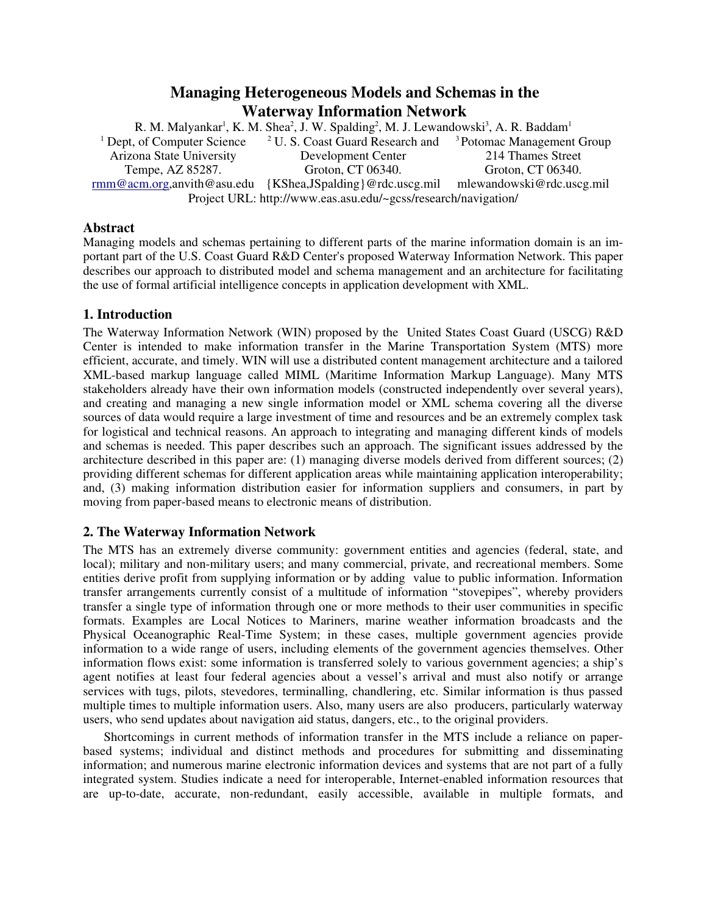# **Managing Heterogeneous Models and Schemas in the Waterway Information Network**

R. M. Malyankar<sup>1</sup>, K. M. Shea<sup>2</sup>, J. W. Spalding<sup>2</sup>, M. J. Lewandowski<sup>3</sup>, A. R. Baddam<sup>1</sup> <sup>1</sup> Dept, of Computer Science Arizona State University Tempe, AZ 85287. rmm@acm.org,anvith@asu.edu {KShea,JSpalding}@rdc.uscg.mil <sup>2</sup> U.S. Coast Guard Research and <sup>3</sup> Potomac Management Group Development Center Groton, CT 06340. 214 Thames Street Groton, CT 06340. mlewandowski@rdc.uscg.mil Project URL: http://www.eas.asu.edu/~gcss/research/navigation/

### **Abstract**

Managing models and schemas pertaining to different parts of the marine information domain is an important part of the U.S. Coast Guard R&D Center's proposed Waterway Information Network. This paper describes our approach to distributed model and schema management and an architecture for facilitating the use of formal artificial intelligence concepts in application development with XML.

# **1. Introduction**

The Waterway Information Network (WIN) proposed by the United States Coast Guard (USCG) R&D Center is intended to make information transfer in the Marine Transportation System (MTS) more efficient, accurate, and timely. WIN will use a distributed content management architecture and a tailored XML-based markup language called MIML (Maritime Information Markup Language). Many MTS stakeholders already have their own information models (constructed independently over several years), and creating and managing a new single information model or XML schema covering all the diverse sources of data would require a large investment of time and resources and be an extremely complex task for logistical and technical reasons. An approach to integrating and managing different kinds of models and schemas is needed. This paper describes such an approach. The significant issues addressed by the architecture described in this paper are: (1) managing diverse models derived from different sources; (2) providing different schemas for different application areas while maintaining application interoperability; and, (3) making information distribution easier for information suppliers and consumers, in part by moving from paper-based means to electronic means of distribution.

# **2. The Waterway Information Network**

The MTS has an extremely diverse community: government entities and agencies (federal, state, and local); military and non-military users; and many commercial, private, and recreational members. Some entities derive profit from supplying information or by adding value to public information. Information transfer arrangements currently consist of a multitude of information "stovepipes", whereby providers transfer a single type of information through one or more methods to their user communities in specific formats. Examples are Local Notices to Mariners, marine weather information broadcasts and the Physical Oceanographic Real-Time System; in these cases, multiple government agencies provide information to a wide range of users, including elements of the government agencies themselves. Other information flows exist: some information is transferred solely to various government agencies; a ship's agent notifies at least four federal agencies about a vessel's arrival and must also notify or arrange services with tugs, pilots, stevedores, terminalling, chandlering, etc. Similar information is thus passed multiple times to multiple information users. Also, many users are also producers, particularly waterway users, who send updates about navigation aid status, dangers, etc., to the original providers.

Shortcomings in current methods of information transfer in the MTS include a reliance on paperbased systems; individual and distinct methods and procedures for submitting and disseminating information; and numerous marine electronic information devices and systems that are not part of a fully integrated system. Studies indicate a need for interoperable, Internet-enabled information resources that are up-to-date, accurate, non-redundant, easily accessible, available in multiple formats, and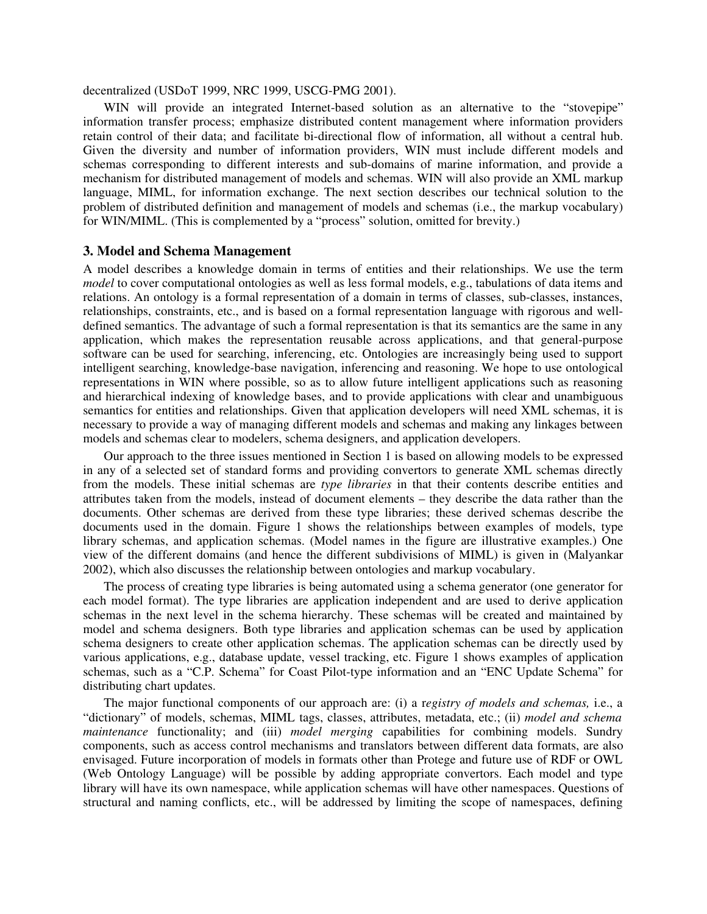decentralized (USDoT 1999, NRC 1999, USCG-PMG 2001).

WIN will provide an integrated Internet-based solution as an alternative to the "stovepipe" information transfer process; emphasize distributed content management where information providers retain control of their data; and facilitate bi-directional flow of information, all without a central hub. Given the diversity and number of information providers, WIN must include different models and schemas corresponding to different interests and sub-domains of marine information, and provide a mechanism for distributed management of models and schemas. WIN will also provide an XML markup language, MIML, for information exchange. The next section describes our technical solution to the problem of distributed definition and management of models and schemas (i.e., the markup vocabulary) for WIN/MIML. (This is complemented by a "process" solution, omitted for brevity.)

#### **3. Model and Schema Management**

A model describes a knowledge domain in terms of entities and their relationships. We use the term *model* to cover computational ontologies as well as less formal models, e.g., tabulations of data items and relations. An ontology is a formal representation of a domain in terms of classes, sub-classes, instances, relationships, constraints, etc., and is based on a formal representation language with rigorous and welldefined semantics. The advantage of such a formal representation is that its semantics are the same in any application, which makes the representation reusable across applications, and that general-purpose software can be used for searching, inferencing, etc. Ontologies are increasingly being used to support intelligent searching, knowledge-base navigation, inferencing and reasoning. We hope to use ontological representations in WIN where possible, so as to allow future intelligent applications such as reasoning and hierarchical indexing of knowledge bases, and to provide applications with clear and unambiguous semantics for entities and relationships. Given that application developers will need XML schemas, it is necessary to provide a way of managing different models and schemas and making any linkages between models and schemas clear to modelers, schema designers, and application developers.

Our approach to the three issues mentioned in Section 1 is based on allowing models to be expressed in any of a selected set of standard forms and providing convertors to generate XML schemas directly from the models. These initial schemas are *type libraries* in that their contents describe entities and attributes taken from the models, instead of document elements – they describe the data rather than the documents. Other schemas are derived from these type libraries; these derived schemas describe the documents used in the domain. Figure 1 shows the relationships between examples of models, type library schemas, and application schemas. (Model names in the figure are illustrative examples.) One view of the different domains (and hence the different subdivisions of MIML) is given in (Malyankar 2002), which also discusses the relationship between ontologies and markup vocabulary.

The process of creating type libraries is being automated using a schema generator (one generator for each model format). The type libraries are application independent and are used to derive application schemas in the next level in the schema hierarchy. These schemas will be created and maintained by model and schema designers. Both type libraries and application schemas can be used by application schema designers to create other application schemas. The application schemas can be directly used by various applications, e.g., database update, vessel tracking, etc. Figure 1 shows examples of application schemas, such as a "C.P. Schema" for Coast Pilot-type information and an "ENC Update Schema" for distributing chart updates.

The major functional components of our approach are: (i) a r*egistry of models and schemas,* i.e., a "dictionary" of models, schemas, MIML tags, classes, attributes, metadata, etc.; (ii) *model and schema maintenance* functionality; and (iii) *model merging* capabilities for combining models. Sundry components, such as access control mechanisms and translators between different data formats, are also envisaged. Future incorporation of models in formats other than Protege and future use of RDF or OWL (Web Ontology Language) will be possible by adding appropriate convertors. Each model and type library will have its own namespace, while application schemas will have other namespaces. Questions of structural and naming conflicts, etc., will be addressed by limiting the scope of namespaces, defining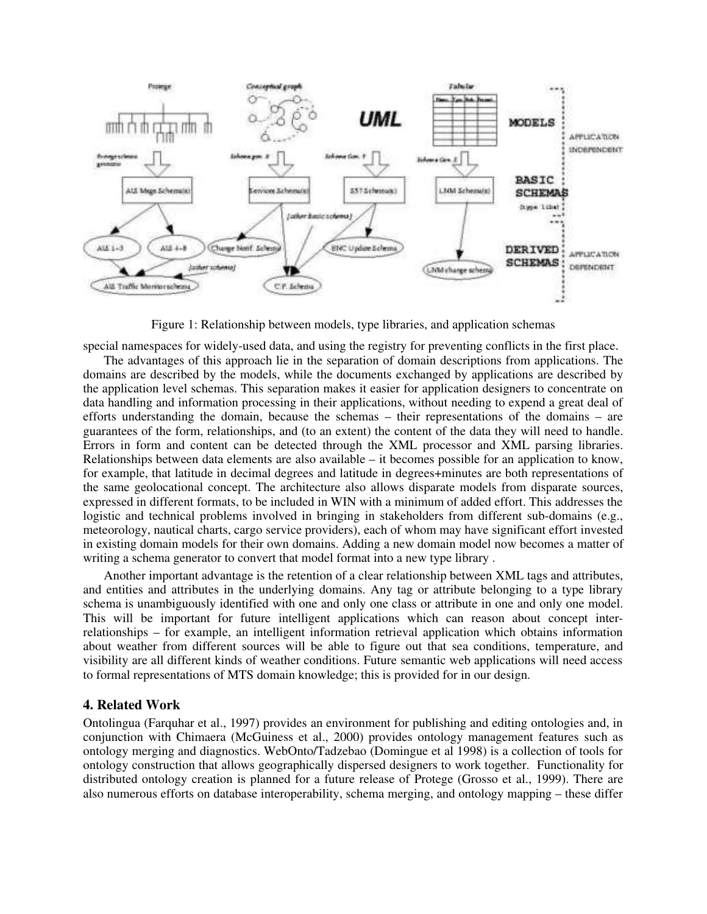

Figure 1: Relationship between models, type libraries, and application schemas

special namespaces for widely-used data, and using the registry for preventing conflicts in the first place.

The advantages of this approach lie in the separation of domain descriptions from applications. The domains are described by the models, while the documents exchanged by applications are described by the application level schemas. This separation makes it easier for application designers to concentrate on data handling and information processing in their applications, without needing to expend a great deal of efforts understanding the domain, because the schemas – their representations of the domains – are guarantees of the form, relationships, and (to an extent) the content of the data they will need to handle. Errors in form and content can be detected through the XML processor and XML parsing libraries. Relationships between data elements are also available – it becomes possible for an application to know, for example, that latitude in decimal degrees and latitude in degrees+minutes are both representations of the same geolocational concept. The architecture also allows disparate models from disparate sources, expressed in different formats, to be included in WIN with a minimum of added effort. This addresses the logistic and technical problems involved in bringing in stakeholders from different sub-domains (e.g., meteorology, nautical charts, cargo service providers), each of whom may have significant effort invested in existing domain models for their own domains. Adding a new domain model now becomes a matter of writing a schema generator to convert that model format into a new type library .

Another important advantage is the retention of a clear relationship between XML tags and attributes, and entities and attributes in the underlying domains. Any tag or attribute belonging to a type library schema is unambiguously identified with one and only one class or attribute in one and only one model. This will be important for future intelligent applications which can reason about concept interrelationships – for example, an intelligent information retrieval application which obtains information about weather from different sources will be able to figure out that sea conditions, temperature, and visibility are all different kinds of weather conditions. Future semantic web applications will need access to formal representations of MTS domain knowledge; this is provided for in our design.

#### **4. Related Work**

Ontolingua (Farquhar et al., 1997) provides an environment for publishing and editing ontologies and, in conjunction with Chimaera (McGuiness et al., 2000) provides ontology management features such as ontology merging and diagnostics. WebOnto/Tadzebao (Domingue et al 1998) is a collection of tools for ontology construction that allows geographically dispersed designers to work together. Functionality for distributed ontology creation is planned for a future release of Protege (Grosso et al., 1999). There are also numerous efforts on database interoperability, schema merging, and ontology mapping – these differ